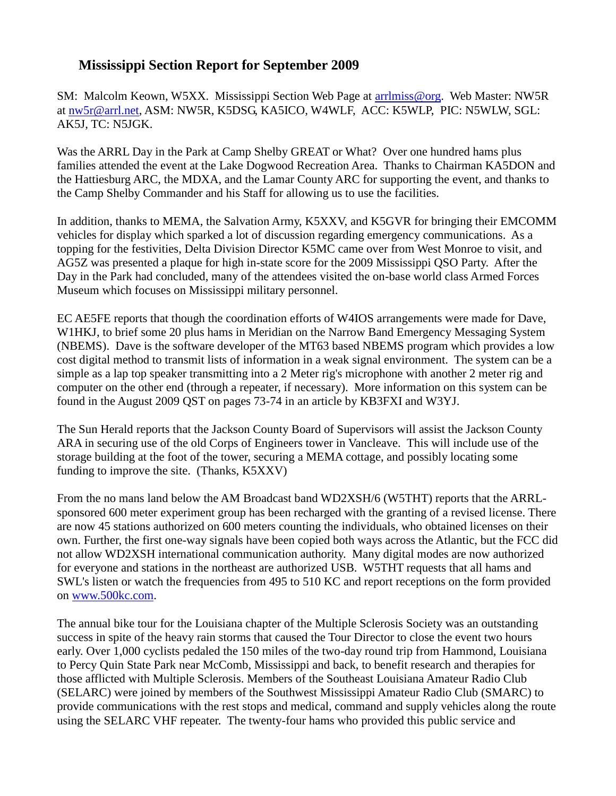## **Mississippi Section Report for September 2009**

SM: Malcolm Keown, W5XX. Mississippi Section Web Page at [arrlmiss@org.](mailto:arrlmiss@org) Web Master: NW5R at [nw5r@arrl.net,](mailto:nw5r@arrl.net) ASM: NW5R, K5DSG, KA5ICO, W4WLF, ACC: K5WLP, PIC: N5WLW, SGL: AK5J, TC: N5JGK.

Was the ARRL Day in the Park at Camp Shelby GREAT or What? Over one hundred hams plus families attended the event at the Lake Dogwood Recreation Area. Thanks to Chairman KA5DON and the Hattiesburg ARC, the MDXA, and the Lamar County ARC for supporting the event, and thanks to the Camp Shelby Commander and his Staff for allowing us to use the facilities.

In addition, thanks to MEMA, the Salvation Army, K5XXV, and K5GVR for bringing their EMCOMM vehicles for display which sparked a lot of discussion regarding emergency communications. As a topping for the festivities, Delta Division Director K5MC came over from West Monroe to visit, and AG5Z was presented a plaque for high in-state score for the 2009 Mississippi QSO Party. After the Day in the Park had concluded, many of the attendees visited the on-base world class Armed Forces Museum which focuses on Mississippi military personnel.

EC AE5FE reports that though the coordination efforts of W4IOS arrangements were made for Dave, W1HKJ, to brief some 20 plus hams in Meridian on the Narrow Band Emergency Messaging System (NBEMS). Dave is the software developer of the MT63 based NBEMS program which provides a low cost digital method to transmit lists of information in a weak signal environment. The system can be a simple as a lap top speaker transmitting into a 2 Meter rig's microphone with another 2 meter rig and computer on the other end (through a repeater, if necessary). More information on this system can be found in the August 2009 QST on pages 73-74 in an article by KB3FXI and W3YJ.

The Sun Herald reports that the Jackson County Board of Supervisors will assist the Jackson County ARA in securing use of the old Corps of Engineers tower in Vancleave. This will include use of the storage building at the foot of the tower, securing a MEMA cottage, and possibly locating some funding to improve the site. (Thanks, K5XXV)

From the no mans land below the AM Broadcast band WD2XSH/6 (W5THT) reports that the ARRLsponsored 600 meter experiment group has been recharged with the granting of a revised license. There are now 45 stations authorized on 600 meters counting the individuals, who obtained licenses on their own. Further, the first one-way signals have been copied both ways across the Atlantic, but the FCC did not allow WD2XSH international communication authority. Many digital modes are now authorized for everyone and stations in the northeast are authorized USB. W5THT requests that all hams and SWL's listen or watch the frequencies from 495 to 510 KC and report receptions on the form provided on [www.500kc.com.](http://www.500kc.com/)

The annual bike tour for the Louisiana chapter of the Multiple Sclerosis Society was an outstanding success in spite of the heavy rain storms that caused the Tour Director to close the event two hours early. Over 1,000 cyclists pedaled the 150 miles of the two-day round trip from Hammond, Louisiana to Percy Quin State Park near McComb, Mississippi and back, to benefit research and therapies for those afflicted with Multiple Sclerosis. Members of the Southeast Louisiana Amateur Radio Club (SELARC) were joined by members of the Southwest Mississippi Amateur Radio Club (SMARC) to provide communications with the rest stops and medical, command and supply vehicles along the route using the SELARC VHF repeater. The twenty-four hams who provided this public service and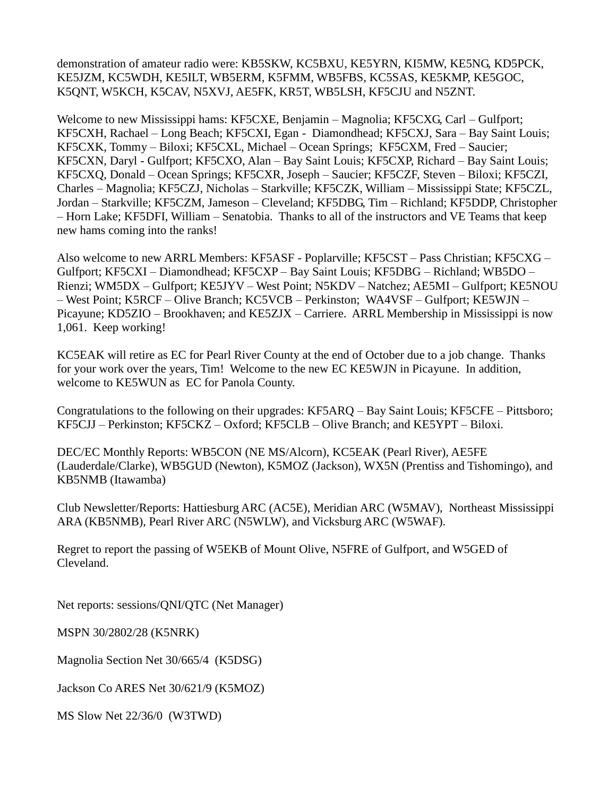demonstration of amateur radio were: KB5SKW, KC5BXU, KE5YRN, KI5MW, KE5NG, KD5PCK, KE5JZM, KC5WDH, KE5ILT, WB5ERM, K5FMM, WB5FBS, KC5SAS, KE5KMP, KE5GOC, K5QNT, W5KCH, K5CAV, N5XVJ, AE5FK, KR5T, WB5LSH, KF5CJU and N5ZNT.

Welcome to new Mississippi hams: KF5CXE, Benjamin – Magnolia; KF5CXG, Carl – Gulfport; KF5CXH, Rachael – Long Beach; KF5CXI, Egan - Diamondhead; KF5CXJ, Sara – Bay Saint Louis; KF5CXK, Tommy – Biloxi; KF5CXL, Michael – Ocean Springs; KF5CXM, Fred – Saucier; KF5CXN, Daryl - Gulfport; KF5CXO, Alan – Bay Saint Louis; KF5CXP, Richard – Bay Saint Louis; KF5CXQ, Donald – Ocean Springs; KF5CXR, Joseph – Saucier; KF5CZF, Steven – Biloxi; KF5CZI, Charles – Magnolia; KF5CZJ, Nicholas – Starkville; KF5CZK, William – Mississippi State; KF5CZL, Jordan – Starkville; KF5CZM, Jameson – Cleveland; KF5DBG, Tim – Richland; KF5DDP, Christopher – Horn Lake; KF5DFI, William – Senatobia. Thanks to all of the instructors and VE Teams that keep new hams coming into the ranks!

Also welcome to new ARRL Members: KF5ASF - Poplarville; KF5CST – Pass Christian; KF5CXG – Gulfport; KF5CXI – Diamondhead; KF5CXP – Bay Saint Louis; KF5DBG – Richland; WB5DO – Rienzi; WM5DX – Gulfport; KE5JYV – West Point; N5KDV – Natchez; AE5MI – Gulfport; KE5NOU – West Point; K5RCF – Olive Branch; KC5VCB – Perkinston; WA4VSF – Gulfport; KE5WJN – Picayune; KD5ZIO – Brookhaven; and KE5ZJX – Carriere. ARRL Membership in Mississippi is now 1,061. Keep working!

KC5EAK will retire as EC for Pearl River County at the end of October due to a job change. Thanks for your work over the years, Tim! Welcome to the new EC KE5WJN in Picayune. In addition, welcome to KE5WUN as EC for Panola County.

Congratulations to the following on their upgrades: KF5ARQ – Bay Saint Louis; KF5CFE – Pittsboro; KF5CJJ – Perkinston; KF5CKZ – Oxford; KF5CLB – Olive Branch; and KE5YPT – Biloxi.

DEC/EC Monthly Reports: WB5CON (NE MS/Alcorn), KC5EAK (Pearl River), AE5FE (Lauderdale/Clarke), WB5GUD (Newton), K5MOZ (Jackson), WX5N (Prentiss and Tishomingo), and KB5NMB (Itawamba)

Club Newsletter/Reports: Hattiesburg ARC (AC5E), Meridian ARC (W5MAV), Northeast Mississippi ARA (KB5NMB), Pearl River ARC (N5WLW), and Vicksburg ARC (W5WAF).

Regret to report the passing of W5EKB of Mount Olive, N5FRE of Gulfport, and W5GED of Cleveland.

Net reports: sessions/QNI/QTC (Net Manager)

MSPN 30/2802/28 (K5NRK)

Magnolia Section Net 30/665/4 (K5DSG)

Jackson Co ARES Net 30/621/9 (K5MOZ)

MS Slow Net 22/36/0 (W3TWD)